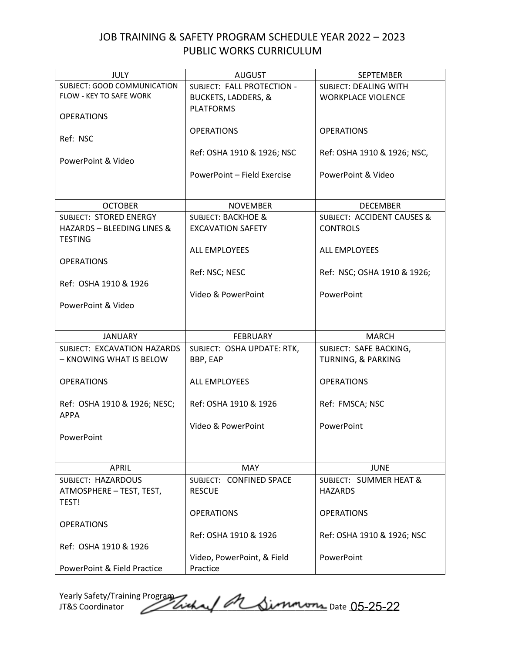## JOB TRAINING & SAFETY PROGRAM SCHEDULE YEAR 2022 – 2023 PUBLIC WORKS CURRICULUM

| <b>JULY</b>                    | <b>AUGUST</b>                  | <b>SEPTEMBER</b>                      |
|--------------------------------|--------------------------------|---------------------------------------|
| SUBJECT: GOOD COMMUNICATION    | SUBJECT: FALL PROTECTION -     | SUBJECT: DEALING WITH                 |
| <b>FLOW - KEY TO SAFE WORK</b> | <b>BUCKETS, LADDERS, &amp;</b> | <b>WORKPLACE VIOLENCE</b>             |
|                                | <b>PLATFORMS</b>               |                                       |
| <b>OPERATIONS</b>              |                                |                                       |
|                                | <b>OPERATIONS</b>              | <b>OPERATIONS</b>                     |
| Ref: NSC                       |                                |                                       |
|                                | Ref: OSHA 1910 & 1926; NSC     | Ref: OSHA 1910 & 1926; NSC,           |
| PowerPoint & Video             |                                |                                       |
|                                | PowerPoint - Field Exercise    | PowerPoint & Video                    |
|                                |                                |                                       |
| <b>OCTOBER</b>                 | <b>NOVEMBER</b>                | <b>DECEMBER</b>                       |
| SUBJECT: STORED ENERGY         | <b>SUBJECT: BACKHOE &amp;</b>  | <b>SUBJECT: ACCIDENT CAUSES &amp;</b> |
| HAZARDS - BLEEDING LINES &     | <b>EXCAVATION SAFETY</b>       | <b>CONTROLS</b>                       |
| <b>TESTING</b>                 |                                |                                       |
|                                | ALL EMPLOYEES                  | ALL EMPLOYEES                         |
| <b>OPERATIONS</b>              |                                |                                       |
|                                | Ref: NSC; NESC                 | Ref: NSC; OSHA 1910 & 1926;           |
| Ref: OSHA 1910 & 1926          |                                |                                       |
|                                | Video & PowerPoint             | PowerPoint                            |
| PowerPoint & Video             |                                |                                       |
|                                |                                |                                       |
|                                |                                |                                       |
|                                |                                |                                       |
| <b>JANUARY</b>                 | <b>FEBRUARY</b>                | <b>MARCH</b>                          |
| SUBJECT: EXCAVATION HAZARDS    | SUBJECT: OSHA UPDATE: RTK,     | SUBJECT: SAFE BACKING,                |
| - KNOWING WHAT IS BELOW        | BBP, EAP                       | <b>TURNING, &amp; PARKING</b>         |
|                                |                                |                                       |
| <b>OPERATIONS</b>              | ALL EMPLOYEES                  | <b>OPERATIONS</b>                     |
|                                |                                |                                       |
| Ref: OSHA 1910 & 1926; NESC;   | Ref: OSHA 1910 & 1926          | Ref: FMSCA; NSC                       |
| <b>APPA</b>                    |                                |                                       |
|                                | Video & PowerPoint             | PowerPoint                            |
| PowerPoint                     |                                |                                       |
|                                |                                |                                       |
| <b>APRIL</b>                   | MAY                            | <b>JUNE</b>                           |
| SUBJECT: HAZARDOUS             | SUBJECT: CONFINED SPACE        | SUBJECT: SUMMER HEAT &                |
| ATMOSPHERE - TEST, TEST,       | <b>RESCUE</b>                  | <b>HAZARDS</b>                        |
| TEST!                          |                                |                                       |
|                                | <b>OPERATIONS</b>              | <b>OPERATIONS</b>                     |
| <b>OPERATIONS</b>              |                                |                                       |
|                                | Ref: OSHA 1910 & 1926          | Ref: OSHA 1910 & 1926; NSC            |
| Ref: OSHA 1910 & 1926          |                                |                                       |
|                                | Video, PowerPoint, & Field     | PowerPoint                            |

Yearly Safety/Training Program JT&S Coordinator *Delichal O*n Simmons Date 05-25-22